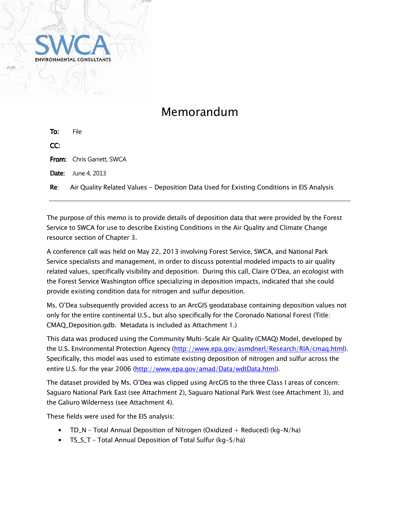

# Memorandum

| To: | File                                                                                      |
|-----|-------------------------------------------------------------------------------------------|
| CC: |                                                                                           |
|     | <b>From:</b> Chris Garrett, SWCA                                                          |
|     | <b>Date:</b> June 4, 2013                                                                 |
| Re: | Air Quality Related Values - Deposition Data Used for Existing Conditions in EIS Analysis |

The purpose of this memo is to provide details of deposition data that were provided by the Forest Service to SWCA for use to describe Existing Conditions in the Air Quality and Climate Change resource section of Chapter 3.

A conference call was held on May 22, 2013 involving Forest Service, SWCA, and National Park Service specialists and management, in order to discuss potential modeled impacts to air quality related values, specifically visibility and deposition. During this call, Claire O'Dea, an ecologist with the Forest Service Washington office specializing in deposition impacts, indicated that she could provide existing condition data for nitrogen and sulfur deposition.

Ms. O'Dea subsequently provided access to an ArcGIS geodatabase containing deposition values not only for the entire continental U.S., but also specifically for the Coronado National Forest (Title: CMAQ\_Deposition.gdb. Metadata is included as Attachment 1.)

This data was produced using the Community Multi-Scale Air Quality (CMAQ) Model, developed by the U.S. Environmental Protection Agency (http://www.epa.gov/asmdnerl/Research/RIA/cmag.html). Specifically, this model was used to estimate existing deposition of nitrogen and sulfur across the entire U.S. for the year 2006 (http://www.epa.gov/amad/Data/wdtData.html).

The dataset provided by Ms. O'Dea was clipped using ArcGIS to the three Class I areas of concern: Saguaro National Park East (see Attachment 2), Saguaro National Park West (see Attachment 3), and the Galiuro Wilderness (see Attachment 4).

These fields were used for the EIS analysis:

- TD\_N Total Annual Deposition of Nitrogen (Oxidized  $+$  Reduced) (kg-N/ha)
- TS\_S\_T Total Annual Deposition of Total Sulfur (kg-S/ha)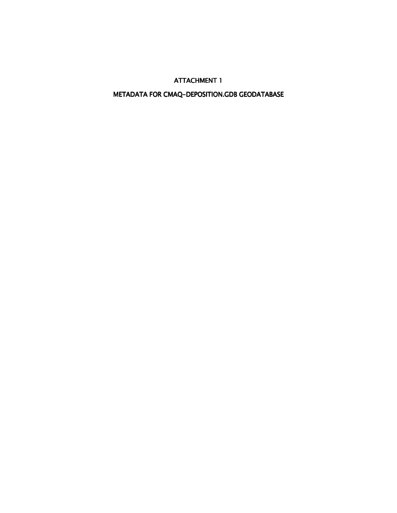## METADATA FOR CMAQ-DEPOSITION.GDB GEODATABASE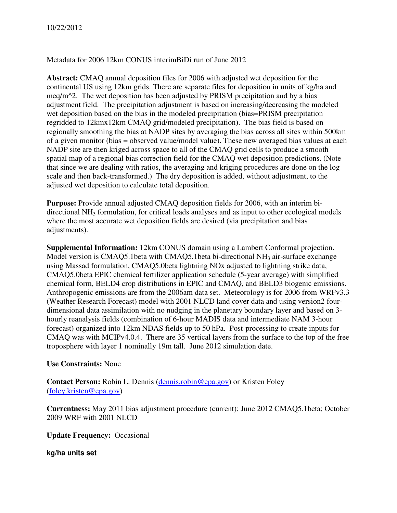Metadata for 2006 12km CONUS interimBiDi run of June 2012

**Abstract:** CMAQ annual deposition files for 2006 with adjusted wet deposition for the continental US using 12km grids. There are separate files for deposition in units of kg/ha and meq/m $\textdegree$ 2. The wet deposition has been adjusted by PRISM precipitation and by a bias adjustment field. The precipitation adjustment is based on increasing/decreasing the modeled wet deposition based on the bias in the modeled precipitation (bias=PRISM precipitation regridded to 12kmx12km CMAQ grid/modeled precipitation). The bias field is based on regionally smoothing the bias at NADP sites by averaging the bias across all sites within 500km of a given monitor (bias = observed value/model value). These new averaged bias values at each NADP site are then kriged across space to all of the CMAQ grid cells to produce a smooth spatial map of a regional bias correction field for the CMAQ wet deposition predictions. (Note that since we are dealing with ratios, the averaging and kriging procedures are done on the log scale and then back-transformed.) The dry deposition is added, without adjustment, to the adjusted wet deposition to calculate total deposition.

**Purpose:** Provide annual adjusted CMAQ deposition fields for 2006, with an interim bidirectional NH3 formulation, for critical loads analyses and as input to other ecological models where the most accurate wet deposition fields are desired (via precipitation and bias adjustments).

**Supplemental Information:** 12km CONUS domain using a Lambert Conformal projection. Model version is CMAQ5.1beta with CMAQ5.1beta bi-directional  $NH<sub>3</sub>$  air-surface exchange using Massad formulation, CMAQ5.0beta lightning NOx adjusted to lightning strike data, CMAQ5.0beta EPIC chemical fertilizer application schedule (5-year average) with simplified chemical form, BELD4 crop distributions in EPIC and CMAQ, and BELD3 biogenic emissions. Anthropogenic emissions are from the 2006am data set. Meteorology is for 2006 from WRFv3.3 (Weather Research Forecast) model with 2001 NLCD land cover data and using version2 fourdimensional data assimilation with no nudging in the planetary boundary layer and based on 3 hourly reanalysis fields (combination of 6-hour MADIS data and intermediate NAM 3-hour forecast) organized into 12km NDAS fields up to 50 hPa. Post-processing to create inputs for CMAQ was with MCIPv4.0.4. There are 35 vertical layers from the surface to the top of the free troposphere with layer 1 nominally 19m tall. June 2012 simulation date.

### **Use Constraints:** None

**Contact Person:** Robin L. Dennis (dennis.robin@epa.gov) or Kristen Foley (foley.kristen@epa.gov)

**Currentness:** May 2011 bias adjustment procedure (current); June 2012 CMAQ5.1beta; October 2009 WRF with 2001 NLCD

**Update Frequency:** Occasional

**kg/ha units set**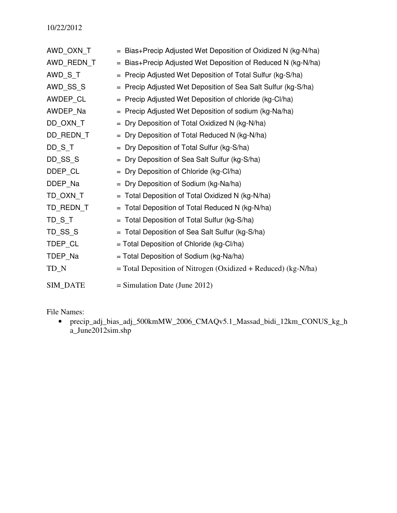| AWD_OXN_T         | = Bias+Precip Adjusted Wet Deposition of Oxidized N (kg-N/ha)   |
|-------------------|-----------------------------------------------------------------|
| AWD_REDN_T        | = Bias+Precip Adjusted Wet Deposition of Reduced N (kg-N/ha)    |
| AWD_S_T           | = Precip Adjusted Wet Deposition of Total Sulfur (kg-S/ha)      |
| AWD_SS_S          | = Precip Adjusted Wet Deposition of Sea Salt Sulfur (kg-S/ha)   |
| AWDEP_CL          | = Precip Adjusted Wet Deposition of chloride (kg-Cl/ha)         |
| AWDEP_Na          | = Precip Adjusted Wet Deposition of sodium (kg-Na/ha)           |
| DD_OXN_T          | = Dry Deposition of Total Oxidized N (kg-N/ha)                  |
| DD_REDN_T         | Dry Deposition of Total Reduced N (kg-N/ha)<br>$=$              |
| DD <sub>S</sub> T | Dry Deposition of Total Sulfur (kg-S/ha)<br>$=$                 |
| DD_SS_S           | Dry Deposition of Sea Salt Sulfur (kg-S/ha)<br>$=$              |
| DDEP_CL           | = Dry Deposition of Chloride (kg-Cl/ha)                         |
| DDEP_Na           | = Dry Deposition of Sodium (kg-Na/ha)                           |
| TD_OXN_T          | Total Deposition of Total Oxidized N (kg-N/ha)                  |
| TD_REDN_T         | Total Deposition of Total Reduced N (kg-N/ha)                   |
| TD <sub>S</sub> T | Total Deposition of Total Sulfur (kg-S/ha)<br>$=$               |
| TD_SS_S           | = Total Deposition of Sea Salt Sulfur (kg-S/ha)                 |
| TDEP_CL           | $=$ Total Deposition of Chloride (kg-Cl/ha)                     |
| TDEP_Na           | $=$ Total Deposition of Sodium (kg-Na/ha)                       |
| $TD_N$            | $=$ Total Deposition of Nitrogen (Oxidized + Reduced) (kg-N/ha) |
| SIM_DATE          | $=$ Simulation Date (June 2012)                                 |

File Names:

• precip\_adj\_bias\_adj\_500kmMW\_2006\_CMAQv5.1\_Massad\_bidi\_12km\_CONUS\_kg\_h a\_June2012sim.shp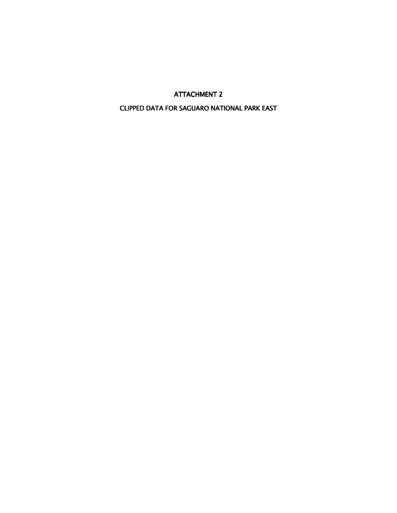CLIPPED DATA FOR SAGUARO NATIONAL PARK EAST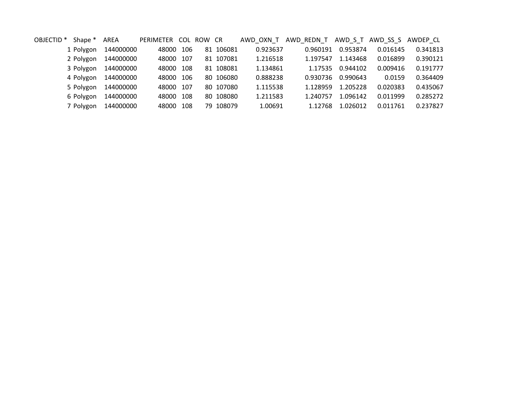| OBJECTID <sup>*</sup> | Shape *   | AREA      | PERIMETER COL ROW CR |     |           | AWD OXN T | AWD REDN_T |          | AWD_S_T_AWD_SS_S_AWDEP_CL |          |
|-----------------------|-----------|-----------|----------------------|-----|-----------|-----------|------------|----------|---------------------------|----------|
|                       | 1 Polygon | 144000000 | 48000                | 106 | 81 106081 | 0.923637  | 0.960191   | 0.953874 | 0.016145                  | 0.341813 |
|                       | 2 Polygon | 144000000 | 48000                | 107 | 81 107081 | 1.216518  | 1.197547   | 1.143468 | 0.016899                  | 0.390121 |
|                       | 3 Polygon | 144000000 | 48000                | 108 | 81 108081 | 1.134861  | 1.17535    | 0.944102 | 0.009416                  | 0.191777 |
|                       | 4 Polygon | 144000000 | 48000 106            |     | 80 106080 | 0.888238  | 0.930736   | 0.990643 | 0.0159                    | 0.364409 |
|                       | 5 Polygon | 144000000 | 48000                | 107 | 80 107080 | 1.115538  | 1.128959   | 1.205228 | 0.020383                  | 0.435067 |
|                       | 6 Polygon | 144000000 | 48000                | 108 | 80 108080 | 1.211583  | 1.240757   | 1.096142 | 0.011999                  | 0.285272 |
|                       | 7 Polygon | 144000000 | 48000                | 108 | 79 108079 | 1.00691   | 1.12768    | 1.026012 | 0.011761                  | 0.237827 |
|                       |           |           |                      |     |           |           |            |          |                           |          |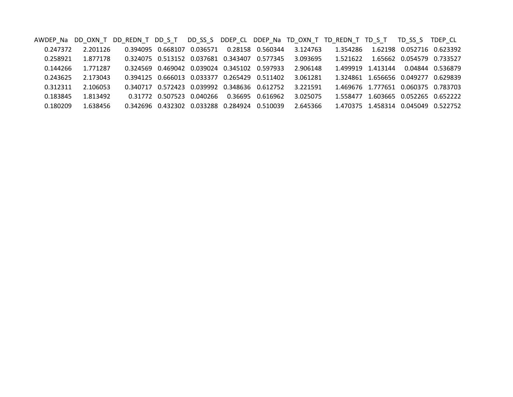AWDEP\_Na DD\_OXN\_T DD\_REDN\_T DD\_S\_T DD\_SS\_S DDEP\_CL DDEP\_Na TD\_OXN\_T TD\_REDN\_T TD\_S\_T TD\_SS\_S TDEP\_CL 0.247372 2.201126 2.201126 0.394095 0.668107 0.036571 0.28158 0.560344 3.124763 1.354286 1.62198 0.052716 0.623392 0.258921 1.877178 0.324075 0.513152 0.037681 0.343407 0.577345 3.093695 1.521622 1.65662 0.054579 0.733527 0.144266 1.771287 0.324569 0.469042 0.039024 0.345102 0.597933 2.906148 1.499919 1.413144 0.04844 0.536879 0.2436252.173043 0.394125 0.666013 0.033377 0.265429 0.511402 3.061281<br>2.106053 0.340717 0.572423 0.039992 0.348636 0.612752 3.221591 0.312311 2.106053 0.340717 0.572423 0.039992 0.348636 0.612752 3.221591 1.469676 1.777651 0.060375 0.783703 0.183845 1.813492 0.31772 0.507523 0.040266 0.36695 0.616962 3.025075 1.558477 1.603665 0.052265 0.652222 0.180209 1.638456 0.342696 0.432302 0.033288 0.284924 0.510039 2.645366 1.470375 1.458314 0.045049 0.522752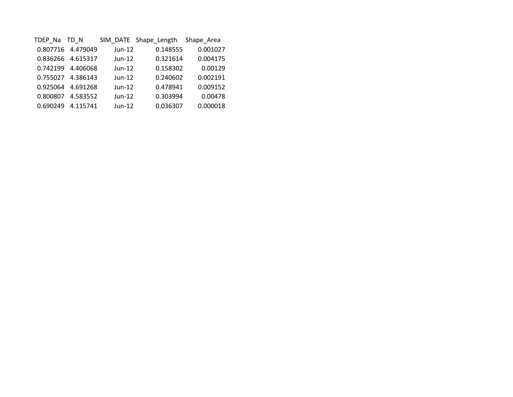| TDEP Na  | TD N              |          | SIM_DATE Shape_Length | Shape Area |
|----------|-------------------|----------|-----------------------|------------|
|          | 0.807716 4.479049 | Jun-12   | 0.148555              | 0.001027   |
|          | 0.836266 4.615317 | $Jun-12$ | 0.321614              | 0.004175   |
| 0.742199 | 4.406068          | $Jun-12$ | 0.158302              | 0.00129    |
|          | 0.755027 4.386143 | $Jun-12$ | 0.240602              | 0.002191   |
| 0.925064 | 4.691268          | $Jun-12$ | 0.478941              | 0.009152   |
| 0.800807 | 4.583552          | $Jun-12$ | 0.303994              | 0.00478    |
| 0.690249 | 4.115741          | $Jun-12$ | 0.036307              | 0.000018   |
|          |                   |          |                       |            |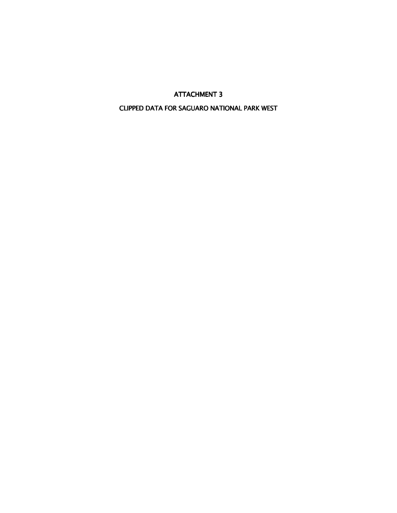## CLIPPED DATA FOR SAGUARO NATIONAL PARK WEST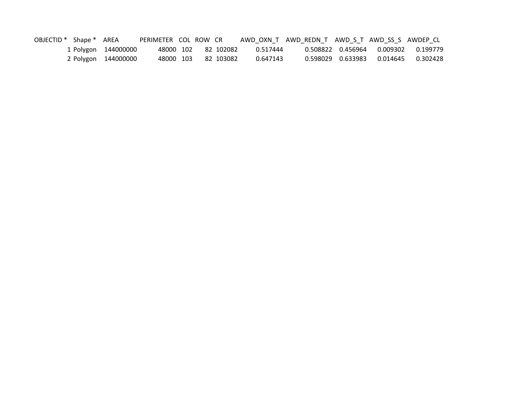| OBJECTID * Shape * AREA |                     | PERIMETER COL ROW CR |  |                     |          | AWD OXN T AWD REDN T AWD S T AWD SS S AWDEP CL |                     |          |          |
|-------------------------|---------------------|----------------------|--|---------------------|----------|------------------------------------------------|---------------------|----------|----------|
|                         | 1 Polygon 144000000 |                      |  | 48000 102 82 102082 | 0.517444 |                                                | 0.508822   0.456964 |          |          |
|                         | 2 Polygon 144000000 | 48000 103            |  | 82 103082           | 0.647143 |                                                | 0.598029   0.633983 | 0.014645 | 0.302428 |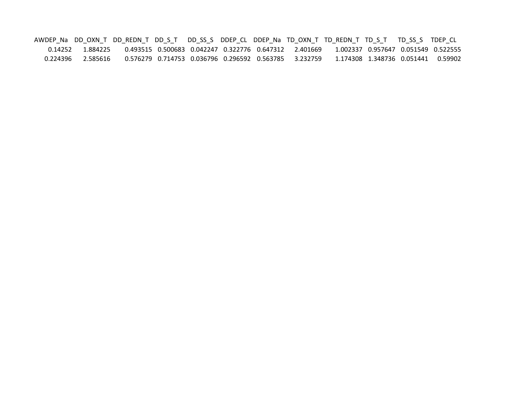AWDEP\_Na DD\_OXN\_T DD\_REDN\_T DD\_S\_T DD\_SS\_S DDEP\_CL DDEP\_Na TD\_OXN\_T TD\_REDN\_T TD\_S\_T TD\_SS\_S TDEP\_CL 0.14252 1.884225 0.493515 0.500683 0.042247 0.322776 0.647312 2.401669 1.002337 0.957647 0.051549 0.522555 0.224396 2.585616 0.576279 0.714753 0.036796 0.296592 0.563785 3.232759 1.174308 1.348736 0.051441 0.59902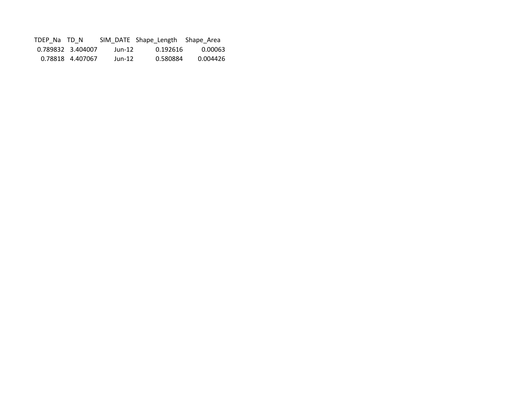| TDEP Na TD N |                   |        | SIM DATE Shape Length Shape Area |          |
|--------------|-------------------|--------|----------------------------------|----------|
|              | 0.789832 3.404007 | Jun-12 | 0.192616                         | 0.00063  |
|              | 0.78818 4.407067  | Jun-12 | 0.580884                         | 0.004426 |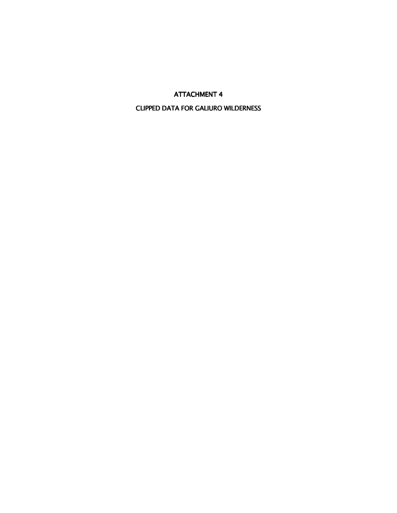### CLIPPED DATA FOR GALIURO WILDERNESS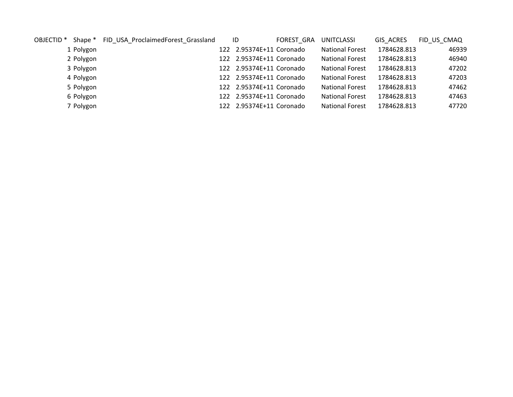| OBJECTID <sup>*</sup> | Shape *   | FID USA ProclaimedForest Grassland | ID                       | FOREST GRA | <b>UNITCLASSI</b>      | GIS ACRES   | FID US CMAQ |
|-----------------------|-----------|------------------------------------|--------------------------|------------|------------------------|-------------|-------------|
|                       | 1 Polygon |                                    | 122 2.95374E+11 Coronado |            | <b>National Forest</b> | 1784628.813 | 46939       |
|                       | 2 Polygon |                                    | 122 2.95374E+11 Coronado |            | <b>National Forest</b> | 1784628.813 | 46940       |
|                       | 3 Polygon |                                    | 122 2.95374E+11 Coronado |            | <b>National Forest</b> | 1784628.813 | 47202       |
|                       | 4 Polygon |                                    | 122 2.95374E+11 Coronado |            | <b>National Forest</b> | 1784628.813 | 47203       |
|                       | 5 Polygon |                                    | 122 2.95374E+11 Coronado |            | <b>National Forest</b> | 1784628.813 | 47462       |
|                       | 6 Polygon |                                    | 122 2.95374E+11 Coronado |            | <b>National Forest</b> | 1784628.813 | 47463       |
|                       | 7 Polygon |                                    | 122 2.95374E+11 Coronado |            | <b>National Forest</b> | 1784628.813 | 47720       |
|                       |           |                                    |                          |            |                        |             |             |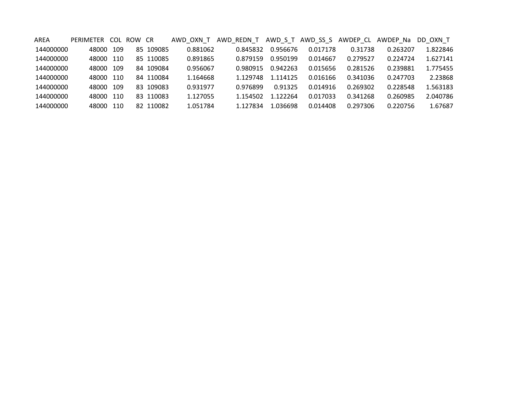| AREA      | PERIMETER | <b>COL</b> | ROW CR |           | AWD OXN T | AWD REDN T |          | AWD S T AWD SS S | AWDEP CL | AWDEP Na | DD OXN T |
|-----------|-----------|------------|--------|-----------|-----------|------------|----------|------------------|----------|----------|----------|
| 144000000 | 48000     | 109        |        | 85 109085 | 0.881062  | 0.845832   | 0.956676 | 0.017178         | 0.31738  | 0.263207 | 1.822846 |
| 144000000 | 48000     | 110        |        | 85 110085 | 0.891865  | 0.879159   | 0.950199 | 0.014667         | 0.279527 | 0.224724 | 1.627141 |
| 144000000 | 48000     | - 109      |        | 84 109084 | 0.956067  | 0.980915   | 0.942263 | 0.015656         | 0.281526 | 0.239881 | 1.775455 |
| 144000000 | 48000     | - 110      |        | 84 110084 | 1.164668  | 1.129748   | 1.114125 | 0.016166         | 0.341036 | 0.247703 | 2.23868  |
| 144000000 | 48000     | -109       |        | 83 109083 | 0.931977  | 0.976899   | 0.91325  | 0.014916         | 0.269302 | 0.228548 | 1.563183 |
| 144000000 | 48000     | -110       |        | 83 110083 | 1.127055  | 1.154502   | 1.122264 | 0.017033         | 0.341268 | 0.260985 | 2.040786 |
| 144000000 | 48000     | 110        |        | 82 110082 | 1.051784  | 1.127834   | 1.036698 | 0.014408         | 0.297306 | 0.220756 | 1.67687  |
|           |           |            |        |           |           |            |          |                  |          |          |          |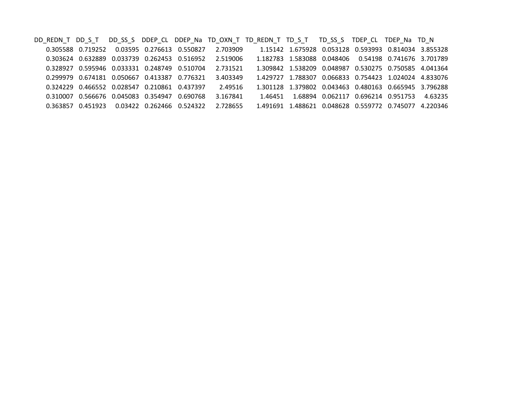DD\_REDN\_T DD\_S\_T DD\_SS\_S DDEP\_CL DDEP\_Na TD\_OXN\_T TD\_REDN\_T TD\_S\_T TD\_SS\_S TDEP\_CL TDEP\_Na TD\_N 0.719252 0.03595 0.276613 0.550827 2.703909 1.15142 1.675928 0.053128 0.593993 0.814034 3.855328 0.305588 0.719252 0.03595 0.276613 0.550827 2.703909 0.303624 0.632889 0.033739 0.262453 0.516952 2.519006 1.182783 1.583088 0.048406 0.54198 0.741676 3.701789 0.328927 0.595946 0.033331 0.248749 0.510704 2.731521 1.309842 1.538209 0.048987 0.530275 0.750585 4.041364<br>1.429727 1.788307 0.066833 0.754423 1.024024 4.833076 0.299979 0.674181 0.050667 0.413387 0.776321 3.403349 1.429727 1.788307 0.066833 0.754423 1.024024 4.833076 0.324229 0.466552 0.028547 0.210861 0.437397 2.49516 1.301128 1.379802 0.043463 0.480163 0.665945 3.796288 0.310007 0.566676 0.045083 0.354947 0.690768 3.167841 1.46451 1.68894 0.062117 0.696214 0.951753 4.63235 0.363857 0.451923 0.03422 0.262466 0.524322 2.728655 1.491691 1.488621 0.048628 0.559772 0.745077 4.220346